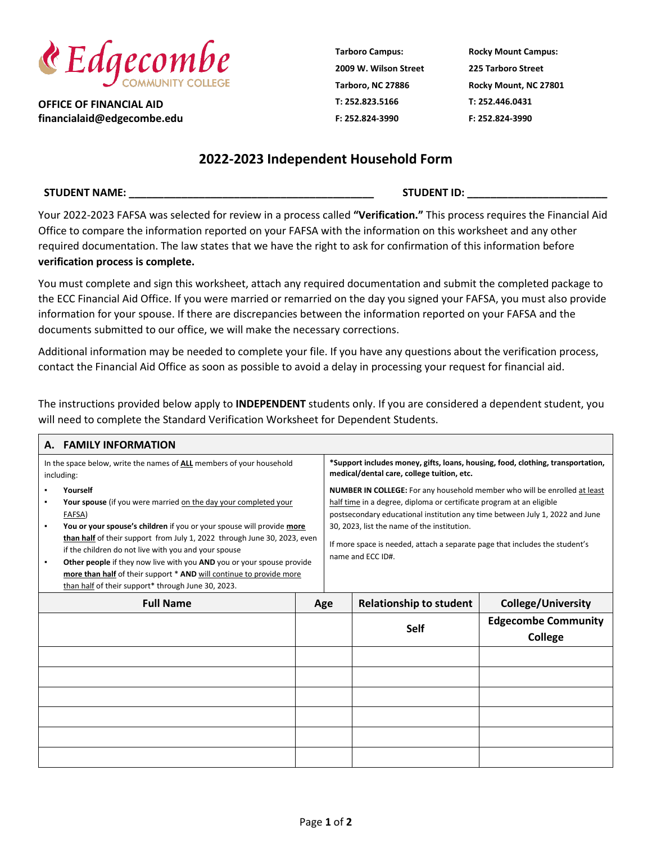

**OFFICE OF FINANCIAL AID financialaid@edgecombe.edu** **Tarboro Campus: 2009 W. Wilson Street Tarboro, NC 27886 T: 252.823.5166 F: 252.824-3990**

**Rocky Mount Campus: 225 Tarboro Street Rocky Mount, NC 27801 T: 252.446.0431 F: 252.824-3990**

## **2022-2023 Independent Household Form**

## **STUDENT NAME: \_\_\_\_\_\_\_\_\_\_\_\_\_\_\_\_\_\_\_\_\_\_\_\_\_\_\_\_\_\_\_\_\_\_\_\_\_\_\_\_\_\_ STUDENT ID: \_\_\_\_\_\_\_\_\_\_\_\_\_\_\_\_\_\_\_\_\_\_\_\_**

Your 2022-2023 FAFSA was selected for review in a process called **"Verification."** This process requires the Financial Aid Office to compare the information reported on your FAFSA with the information on this worksheet and any other required documentation. The law states that we have the right to ask for confirmation of this information before **verification process is complete.**

You must complete and sign this worksheet, attach any required documentation and submit the completed package to the ECC Financial Aid Office. If you were married or remarried on the day you signed your FAFSA, you must also provide information for your spouse. If there are discrepancies between the information reported on your FAFSA and the documents submitted to our office, we will make the necessary corrections.

Additional information may be needed to complete your file. If you have any questions about the verification process, contact the Financial Aid Office as soon as possible to avoid a delay in processing your request for financial aid.

The instructions provided below apply to **INDEPENDENT** students only. If you are considered a dependent student, you will need to complete the Standard Verification Worksheet for Dependent Students.

| <b>FAMILY INFORMATION</b><br>А.                                                    |                                                                                                                                                                                                                                                                                                                                                                                                                                                                                                          |     |                                                                                                                               |                                                                                                                                                                                                                                                                                                                                                                                      |                                              |  |  |  |
|------------------------------------------------------------------------------------|----------------------------------------------------------------------------------------------------------------------------------------------------------------------------------------------------------------------------------------------------------------------------------------------------------------------------------------------------------------------------------------------------------------------------------------------------------------------------------------------------------|-----|-------------------------------------------------------------------------------------------------------------------------------|--------------------------------------------------------------------------------------------------------------------------------------------------------------------------------------------------------------------------------------------------------------------------------------------------------------------------------------------------------------------------------------|----------------------------------------------|--|--|--|
| In the space below, write the names of ALL members of your household<br>including: |                                                                                                                                                                                                                                                                                                                                                                                                                                                                                                          |     | *Support includes money, gifts, loans, housing, food, clothing, transportation,<br>medical/dental care, college tuition, etc. |                                                                                                                                                                                                                                                                                                                                                                                      |                                              |  |  |  |
|                                                                                    | Yourself<br>Your spouse (if you were married on the day your completed your<br>FAFSA)<br>You or your spouse's children if you or your spouse will provide more<br>than half of their support from July 1, 2022 through June 30, 2023, even<br>if the children do not live with you and your spouse<br>Other people if they now live with you AND you or your spouse provide<br>more than half of their support * AND will continue to provide more<br>than half of their support* through June 30, 2023. |     |                                                                                                                               | NUMBER IN COLLEGE: For any household member who will be enrolled at least<br>half time in a degree, diploma or certificate program at an eligible<br>postsecondary educational institution any time between July 1, 2022 and June<br>30, 2023, list the name of the institution.<br>If more space is needed, attach a separate page that includes the student's<br>name and ECC ID#. |                                              |  |  |  |
|                                                                                    | <b>Full Name</b>                                                                                                                                                                                                                                                                                                                                                                                                                                                                                         | Age |                                                                                                                               | <b>Relationship to student</b>                                                                                                                                                                                                                                                                                                                                                       | <b>College/University</b>                    |  |  |  |
|                                                                                    |                                                                                                                                                                                                                                                                                                                                                                                                                                                                                                          |     |                                                                                                                               | <b>Self</b>                                                                                                                                                                                                                                                                                                                                                                          | <b>Edgecombe Community</b><br><b>College</b> |  |  |  |
|                                                                                    |                                                                                                                                                                                                                                                                                                                                                                                                                                                                                                          |     |                                                                                                                               |                                                                                                                                                                                                                                                                                                                                                                                      |                                              |  |  |  |
|                                                                                    |                                                                                                                                                                                                                                                                                                                                                                                                                                                                                                          |     |                                                                                                                               |                                                                                                                                                                                                                                                                                                                                                                                      |                                              |  |  |  |
|                                                                                    |                                                                                                                                                                                                                                                                                                                                                                                                                                                                                                          |     |                                                                                                                               |                                                                                                                                                                                                                                                                                                                                                                                      |                                              |  |  |  |
|                                                                                    |                                                                                                                                                                                                                                                                                                                                                                                                                                                                                                          |     |                                                                                                                               |                                                                                                                                                                                                                                                                                                                                                                                      |                                              |  |  |  |
|                                                                                    |                                                                                                                                                                                                                                                                                                                                                                                                                                                                                                          |     |                                                                                                                               |                                                                                                                                                                                                                                                                                                                                                                                      |                                              |  |  |  |